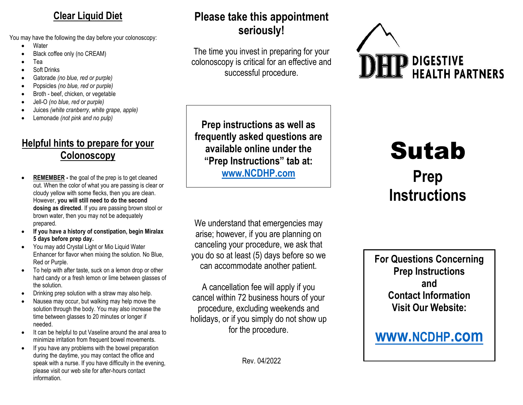#### **Clear Liquid Diet**

You may have the following the day before your colonoscopy:

- Water
- Black coffee only (no CREAM)
- Tea
- Soft Drinks
- Gatorade *(no blue, red or purple)*
- Popsicles *(no blue, red or purple)*
- Broth beef, chicken, or vegetable
- Jell-O *(no blue, red or purple)*
- Juices *(white cranberry, white grape, apple)*
- Lemonade *(not pink and no pulp)*

## **Helpful hints to prepare for your Colonoscopy**

- **REMEMBER -** the goal of the prep is to get cleaned out. When the color of what you are passing is clear or cloudy yellow with some flecks, then you are clean. However, **you will still need to do the second dosing as directed**. If you are passing brown stool or brown water, then you may not be adequately prepared.
- **If you have a history of constipation, begin Miralax 5 days before prep day.**
- You may add Crystal Light or Mio Liquid Water Enhancer for flavor when mixing the solution. No Blue, Red or Purple.
- To help with after taste, suck on a lemon drop or other hard candy or a fresh lemon or lime between glasses of the solution.
- Drinking prep solution with a straw may also help.
- Nausea may occur, but walking may help move the solution through the body. You may also increase the time between glasses to 20 minutes or longer if needed.
- It can be helpful to put Vaseline around the anal area to minimize irritation from frequent bowel movements.
- If you have any problems with the bowel preparation during the daytime, you may contact the office and speak with a nurse. If you have difficulty in the evening, please visit our web site for after-hours contact information.

## **Please take this appointment seriously!**

The time you invest in preparing for your colonoscopy is critical for an effective and successful procedure.



**Prep instructions as well as frequently asked questions are available online under the "Prep Instructions" tab at: [www.NCDHP.com](http://www.ncdhp.com/)**

We understand that emergencies may arise; however, if you are planning on canceling your procedure, we ask that you do so at least (5) days before so we can accommodate another patient.

A cancellation fee will apply if you cancel within 72 business hours of your procedure, excluding weekends and holidays, or if you simply do not show up for the procedure.

Rev. 04/2022

# Sutab **Prep Instructions**

**For Questions Concerning Prep Instructions and Contact Information Visit Our Website:**

## **[www.](http://www.ncdhp.com/)NCDHP.com**